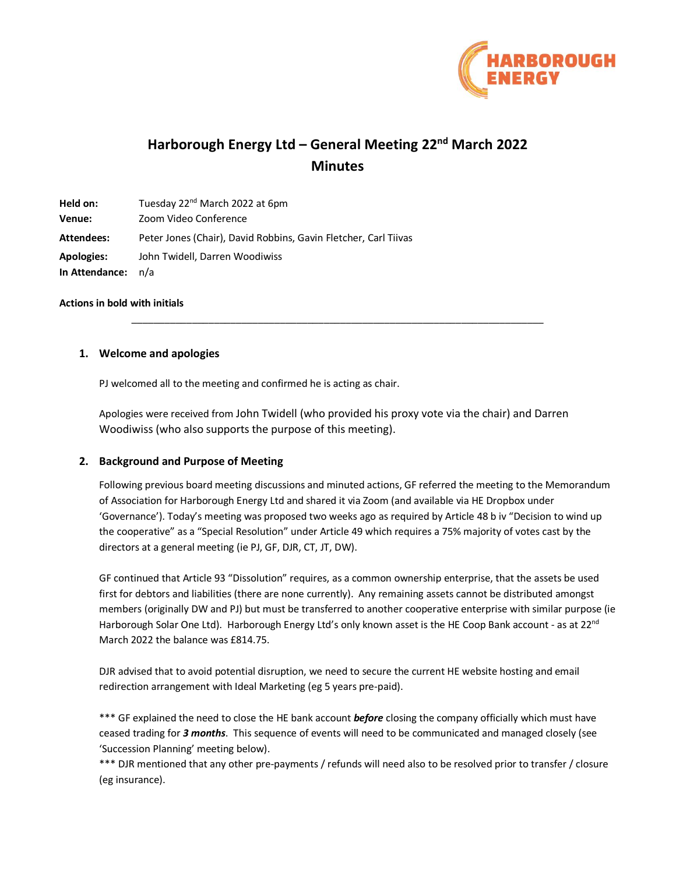

# **Harborough Energy Ltd – General Meeting 22nd March 2022 Minutes**

| Held on:          | Tuesday 22 <sup>nd</sup> March 2022 at 6pm                      |
|-------------------|-----------------------------------------------------------------|
| Venue:            | Zoom Video Conference                                           |
| Attendees:        | Peter Jones (Chair), David Robbins, Gavin Fletcher, Carl Tiivas |
| <b>Apologies:</b> | John Twidell, Darren Woodiwiss                                  |
| In Attendance:    | n/a                                                             |

#### **Actions in bold with initials**

# **1. Welcome and apologies**

PJ welcomed all to the meeting and confirmed he is acting as chair.

Apologies were received from John Twidell (who provided his proxy vote via the chair) and Darren Woodiwiss (who also supports the purpose of this meeting).

\_\_\_\_\_\_\_\_\_\_\_\_\_\_\_\_\_\_\_\_\_\_\_\_\_\_\_\_\_\_\_\_\_\_\_\_\_\_\_\_\_\_\_\_\_\_\_\_\_\_\_\_\_\_\_\_\_\_\_\_\_\_\_\_\_\_\_\_\_\_\_\_\_\_\_

# **2. Background and Purpose of Meeting**

Following previous board meeting discussions and minuted actions, GF referred the meeting to the Memorandum of Association for Harborough Energy Ltd and shared it via Zoom (and available via HE Dropbox under 'Governance'). Today's meeting was proposed two weeks ago as required by Article 48 b iv "Decision to wind up the cooperative" as a "Special Resolution" under Article 49 which requires a 75% majority of votes cast by the directors at a general meeting (ie PJ, GF, DJR, CT, JT, DW).

GF continued that Article 93 "Dissolution" requires, as a common ownership enterprise, that the assets be used first for debtors and liabilities (there are none currently). Any remaining assets cannot be distributed amongst members (originally DW and PJ) but must be transferred to another cooperative enterprise with similar purpose (ie Harborough Solar One Ltd). Harborough Energy Ltd's only known asset is the HE Coop Bank account - as at 22<sup>nd</sup> March 2022 the balance was £814.75.

DJR advised that to avoid potential disruption, we need to secure the current HE website hosting and email redirection arrangement with Ideal Marketing (eg 5 years pre-paid).

\*\*\* GF explained the need to close the HE bank account *before* closing the company officially which must have ceased trading for *3 months*. This sequence of events will need to be communicated and managed closely (see 'Succession Planning' meeting below).

\*\*\* DJR mentioned that any other pre-payments / refunds will need also to be resolved prior to transfer / closure (eg insurance).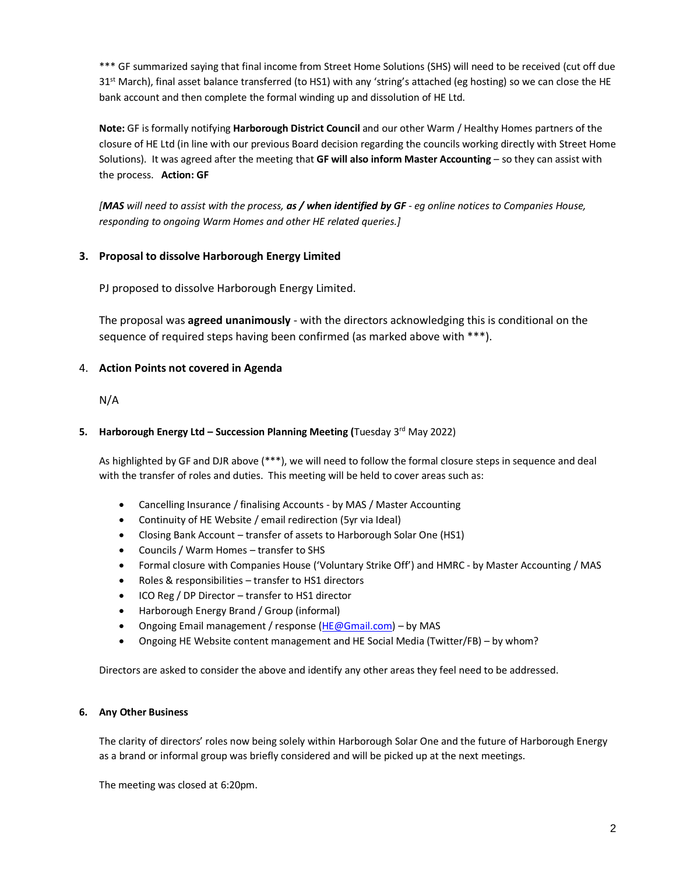\*\*\* GF summarized saying that final income from Street Home Solutions (SHS) will need to be received (cut off due  $31<sup>st</sup>$  March), final asset balance transferred (to HS1) with any 'string's attached (eg hosting) so we can close the HE bank account and then complete the formal winding up and dissolution of HE Ltd.

**Note:** GF is formally notifying **Harborough District Council** and our other Warm / Healthy Homes partners of the closure of HE Ltd (in line with our previous Board decision regarding the councils working directly with Street Home Solutions). It was agreed after the meeting that **GF will also inform Master Accounting** – so they can assist with the process. **Action: GF**

*[MAS will need to assist with the process, as / when identified by GF - eg online notices to Companies House, responding to ongoing Warm Homes and other HE related queries.]*

# **3. Proposal to dissolve Harborough Energy Limited**

PJ proposed to dissolve Harborough Energy Limited.

The proposal was **agreed unanimously** - with the directors acknowledging this is conditional on the sequence of required steps having been confirmed (as marked above with \*\*\*).

# 4. **Action Points not covered in Agenda**

# N/A

# **5. Harborough Energy Ltd – Succession Planning Meeting (Tuesday 3<sup>rd</sup> May 2022)**

As highlighted by GF and DJR above (\*\*\*), we will need to follow the formal closure steps in sequence and deal with the transfer of roles and duties. This meeting will be held to cover areas such as:

- Cancelling Insurance / finalising Accounts by MAS / Master Accounting
- Continuity of HE Website / email redirection (5yr via Ideal)
- Closing Bank Account transfer of assets to Harborough Solar One (HS1)
- Councils / Warm Homes transfer to SHS
- Formal closure with Companies House ('Voluntary Strike Off') and HMRC by Master Accounting / MAS
- Roles & responsibilities transfer to HS1 directors
- ICO Reg / DP Director transfer to HS1 director
- Harborough Energy Brand / Group (informal)
- Ongoing Email management / response [\(HE@Gmail.com\)](mailto:HE@Gmail.com) by MAS
- Ongoing HE Website content management and HE Social Media (Twitter/FB) by whom?

Directors are asked to consider the above and identify any other areas they feel need to be addressed.

# **6. Any Other Business**

The clarity of directors' roles now being solely within Harborough Solar One and the future of Harborough Energy as a brand or informal group was briefly considered and will be picked up at the next meetings.

The meeting was closed at 6:20pm.